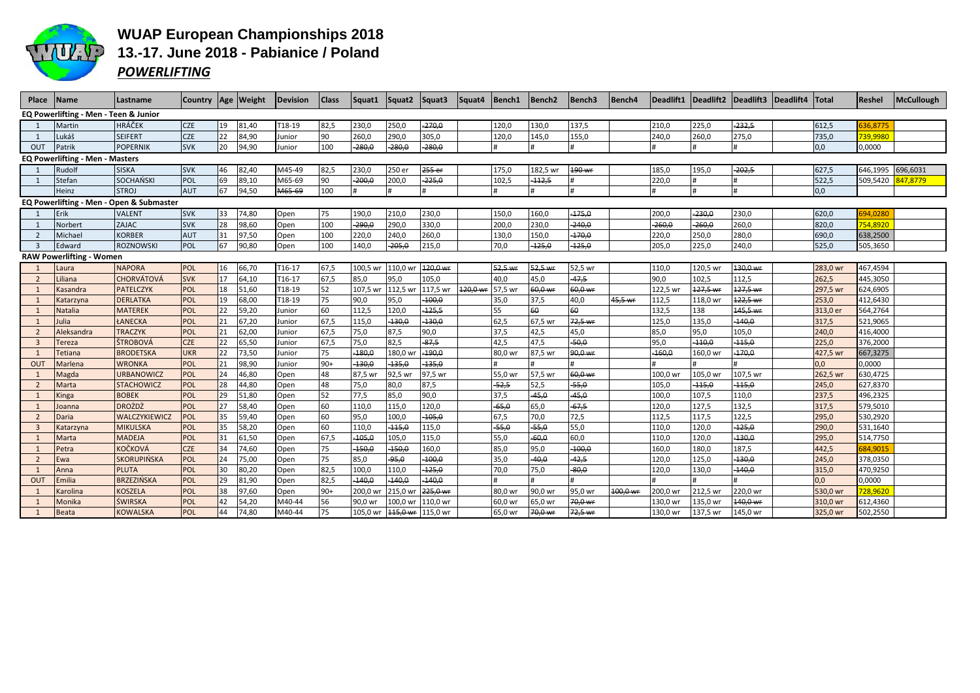

## **WUAP European Championships 2018** 13.-17. June 2018 - Pabianice / Poland **POWERLIFTING**

| Place                                    | Name                                   | Lastname           |            |              | Country Age Weight | <b>Devision</b> | <b>Class</b> | Squat1   | Squat2   | Squat3   | Squat4  | Bench1  | Bench <sub>2</sub> | Bench <sub>3</sub> | Bench4   |          | Deadlift1   Deadlift2   Deadlift3   Deadlift4   Total |              |          | Reshel   | <b>McCullough</b> |
|------------------------------------------|----------------------------------------|--------------------|------------|--------------|--------------------|-----------------|--------------|----------|----------|----------|---------|---------|--------------------|--------------------|----------|----------|-------------------------------------------------------|--------------|----------|----------|-------------------|
| EQ Powerlifting - Men - Teen & Junior    |                                        |                    |            |              |                    |                 |              |          |          |          |         |         |                    |                    |          |          |                                                       |              |          |          |                   |
|                                          | Martin                                 | <b>HRÁČEK</b>      | <b>CZE</b> | $ 19\rangle$ | 81,40              | T18-19          | 82,5         | 230,0    | 250,0    | $-270,0$ |         | 120,0   | 130,0              | 137,5              |          | 210,0    | 225,0                                                 | $-232,5$     | 612,5    | 36.8775  |                   |
| 1                                        | Lukáš                                  | <b>SEIFERT</b>     | <b>CZE</b> | 22           | 84,90              | Junior          | 90           | 260,0    | 290,0    | 305,0    |         | 120,0   | 145,0              | 155,0              |          | 240,0    | 260,0                                                 | 275,0        | 735,0    | 739,9980 |                   |
| <b>OUT</b>                               | Patrik                                 | <b>POPERNIK</b>    | <b>SVK</b> | 20           | 94,90              | lunior          | 100          | $-280,0$ | $-280,0$ | 280,0    |         |         |                    | $\bf{H}$           |          |          |                                                       | #            | 0,0      | 0,0000   |                   |
|                                          | <b>EQ Powerlifting - Men - Masters</b> |                    |            |              |                    |                 |              |          |          |          |         |         |                    |                    |          |          |                                                       |              |          |          |                   |
|                                          | Rudolf                                 | <b>SISKA</b>       | <b>SVK</b> | 46           | 82,40              | M45-49          | 82,5         | 230,0    | 250 er   | 255 er   |         | 175,0   | 182,5 wr           | 190 wr             |          | 185,0    | 195,0                                                 | $-202,5$     | 627,5    | 646,1995 | 696,6031          |
|                                          | Stefan                                 | <b>SOCHAŃSKI</b>   | POL        | 69           | 89,10              | M65-69          | 90           | $-200,0$ | 200,0    | $-225,0$ |         | 102,5   | $-112,5$           |                    |          | 220,0    |                                                       |              | 522,5    | 509,5420 | 847,8779          |
|                                          | Heinz                                  | <b>STROJ</b>       | <b>AUT</b> | 67           | 94,50              | M65-69          | 100          |          |          |          |         |         |                    | $\bf{H}$           |          |          | $\pm$                                                 | <sup>#</sup> | 0,0      |          |                   |
| EQ Powerlifting - Men - Open & Submaster |                                        |                    |            |              |                    |                 |              |          |          |          |         |         |                    |                    |          |          |                                                       |              |          |          |                   |
|                                          | Erik                                   | <b>VALENT</b>      | <b>SVK</b> | 33           | 74,80              | Open            | 75           | 190,0    | 210,0    | 230,0    |         | 150,0   | 160,0              | $-175,0$           |          | 200,0    | $-230,0$                                              | 230,0        | 620,0    | 694,0280 |                   |
| 1                                        | Norbert                                | <b>ZAJAC</b>       | <b>SVK</b> | 28           | 98,60              | Open            | 100          | $-290,0$ | 290,0    | 330,0    |         | 200,0   | 230,0              | $-240,0$           |          | $-260,0$ | $-260,0$                                              | 260,0        | 820,0    | 754,8920 |                   |
| $\overline{2}$                           | Michael                                | <b>KORBER</b>      | AUT        | 31           | 97,50              | Open            | 100          | 220,0    | 240,0    | 260,0    |         | 130,0   | 150,0              | $-170,0$           |          | 220,0    | 250,0                                                 | 280,0        | 690,0    | 638,2500 |                   |
| $\overline{3}$                           | Edward                                 | <b>ROZNOWSKI</b>   | POL        | 67           | 90,80              | Open            | 100          | 140,0    | $-205,0$ | 215,0    |         | 70,0    | $-125,0$           | $-125,0$           |          | 205,0    | 225,0                                                 | 240,0        | 525,0    | 505,3650 |                   |
| <b>RAW Powerlifting - Women</b>          |                                        |                    |            |              |                    |                 |              |          |          |          |         |         |                    |                    |          |          |                                                       |              |          |          |                   |
| 1                                        | Laura                                  | <b>NAPORA</b>      | POL        | 16           | 66,70              | T16-17          | 67,5         | 100,5 wr | 110,0 wr | 120,0 wr |         | 52,5 wr | 52,5 wr            | 52,5 wr            |          | 110,0    | 120,5 wr                                              | 130,0 wr     | 283,0 wr | 467,4594 |                   |
| $\overline{2}$                           | Liliana                                | <b>CHORVÁTOVÁ</b>  | <b>SVK</b> | 17           | 64,10              | T16-17          | 67,5         | 85,0     | 95,0     | 105,0    |         | 40,0    | 45,0               | $-47,5$            |          | 90,0     | 102,5                                                 | 112,5        | 262,5    | 445,3050 |                   |
| 1                                        | Kasandra                               | <b>PATELCZYK</b>   | POL        | 18           | 51,60              | T18-19          | 52           | 107,5 wr | 112,5 wr | 117,5 wr | 120,0 w | 57,5 wr | 60,0 w             | 60,0 wr            |          | 122,5 wr | 127,5 wi                                              | 127,5 wr     | 297,5 wr | 624,6905 |                   |
| 1                                        | Katarzyna                              | <b>DERLATKA</b>    | POL        | 19           | 68,00              | T18-19          | 75           | 90,0     | 95,0     | $-100,0$ |         | 35,0    | 37,5               | 40,0               | 45,5 wr  | 112,5    | 118,0 wr                                              | 122,5 wr     | 253,0    | 412,6430 |                   |
| 1                                        | Natalia                                | <b>MATEREK</b>     | POL        | 22           | 59,20              | Junior          | 60           | 112,5    | 120,0    | $-125,5$ |         | 55      | 60                 | 60                 |          | 132,5    | 138                                                   | 145,5 wr     | 313,0 er | 564,2764 |                   |
| 1                                        | Julia                                  | <b>ŁANECKA</b>     | <b>POL</b> | 21           | 67,20              | lunior          | 67,5         | 115,0    | $-130,0$ | 130,0    |         | 62,5    | 67,5 wr            | 72,5 wr            |          | 125,0    | 135,0                                                 | $-140,0$     | 317,5    | 521,9065 |                   |
| $\overline{2}$                           | Aleksandra                             | <b>TRACZYK</b>     | POL        | 21           | 62,00              | Junior          | 67,5         | 75,0     | 87,5     | 90,0     |         | 37,5    | 42,5               | 45,0               |          | 85,0     | 95,0                                                  | 105,0        | 240,0    | 416,4000 |                   |
| $\overline{3}$                           | Tereza                                 | ŠTROBOVÁ           | <b>CZE</b> | 22           | 65,50              | Junior          | 67,5         | 75,0     | 82,5     | $-87,5$  |         | 42,5    | 47,5               | $-50,0$            |          | 95,0     | $-110,0$                                              | $-115,0$     | 225,0    | 376,2000 |                   |
| 1                                        | <b>Tetiana</b>                         | <b>BRODETSKA</b>   | <b>UKR</b> | 22           | 73,50              | Junior          | 75           | $-180,0$ | 180,0 wr | $-190,0$ |         | 80,0 wr | 87,5 wr            | 90,0 wr            |          | $-160,0$ | 160,0 wr                                              | $-170,0$     | 427,5 wr | 667,3275 |                   |
| OUT                                      | Marlena                                | <b>WRONKA</b>      | POL        | 21           | 98,90              | Junior          | $90+$        | $-130,0$ | 135,0    | $-135,0$ |         |         |                    |                    |          |          |                                                       |              | 0,0      | 0,0000   |                   |
| 1                                        | Magda                                  | <b>URBANOWICZ</b>  | POL        | 24           | 46,80              | Open            | 48           | 87,5 wr  | 92,5 w   | 97,5 wr  |         | 55,0 wr | 57,5 wr            | 60,0 wr            |          | 100,0 wr | 105,0 wr                                              | 107,5 wr     | 262,5 wr | 630,4725 |                   |
| 2                                        | Marta                                  | <b>STACHOWICZ</b>  | POL        | 28           | 44,80              | Open            | 48           | 75,0     | 80,0     | 87,5     |         | $-52,5$ | 52,5               | $-55,0$            |          | 105,0    | $-115,0$                                              | $-115,0$     | 245,0    | 627,8370 |                   |
| 1                                        | Kinga                                  | <b>BOBEK</b>       | POL        | 29           | 51,80              | Open            | 52           | 77,5     | 85,0     | 90,0     |         | 37,5    | $-45,0$            | $-45,0$            |          | 100,0    | 107,5                                                 | 110,0        | 237,5    | 496,2325 |                   |
| $\overline{1}$                           | Joanna                                 | <b>DROŻDŻ</b>      | POL        | 27           | 58,40              | Open            | 60           | 110,0    | 115,0    | 120,0    |         | $-65,0$ | 65,0               | $-67,5$            |          | 120,0    | 127,5                                                 | 132,5        | 317,5    | 579,5010 |                   |
| $\overline{2}$                           | Daria                                  | WALCZYKIEWICZ      | POL        | 35           | 59,40              | Open            | 60           | 95,0     | 100,0    | $-105,0$ |         | 67,5    | 70,0               | 72,5               |          | 112,5    | 117,5                                                 | 122,5        | 295,0    | 530,2920 |                   |
| $\overline{3}$                           | Katarzyna                              | <b>MIKULSKA</b>    | POL        | 35           | 58,20              | Open            | 60           | 110,0    | $-115,0$ | 115,0    |         | $-55,0$ | $-55,0$            | 55,0               |          | 110,0    | 120,0                                                 | $-125,0$     | 290,0    | 531,1640 |                   |
| 1                                        | Marta                                  | <b>MADEJA</b>      | POL        | 31           | 61,50              | Open            | 67,5         | $-105,0$ | 105,0    | 115,0    |         | 55,0    | $-60,0$            | 60,0               |          | 110,0    | 120,0                                                 | $-130,0$     | 295,0    | 514,7750 |                   |
| 1                                        | Petra                                  | KOČKOVÁ            | <b>CZE</b> | 34           | 74,60              | Open            | 75           | $-150,0$ | $-150,0$ | 160,0    |         | 85,0    | 95,0               | $-100,0$           |          | 160,0    | 180,0                                                 | 187,5        | 442,5    | 684,9015 |                   |
| $\overline{2}$                           | Ewa                                    | <b>SKORUPIŃSKA</b> | POL        | 24           | 75,00              | Open            | 75           | 85,0     | -95,0    | 100,0    |         | 35,0    | 40,0               | $-42,5$            |          | 120,0    | 125,0                                                 | $-130,0$     | 245,0    | 378,0350 |                   |
| 1                                        | Anna                                   | <b>PLUTA</b>       | <b>POL</b> | 30           | 80,20              | Open            | 82,5         | 100,0    | 110,0    | $-125,0$ |         | 70,0    | 75,0               | $-80,0$            |          | 120,0    | 130,0                                                 | $-140,0$     | 315,0    | 470,9250 |                   |
| OUT                                      | Emilia                                 | <b>BRZEZIŃSKA</b>  | POL        | 29           | 81,90              | Open            | 82,5         | $-140,0$ | 140,0    | 140,0    |         |         |                    |                    |          |          |                                                       |              | 0.0      | 0,0000   |                   |
| 1                                        | Karolina                               | <b>KOSZELA</b>     | POL        | 38           | 97,60              | Open            | $90+$        | 200,0 wr | 215,0 w  | 225,0 wr |         | 80,0 wr | 90,0 wr            | 95,0 wr            | 100,0 wr | 200,0 wr | 212,5 wr                                              | 220,0 wr     | 530,0 wr | 728,9620 |                   |
| $\overline{1}$                           | Monika                                 | <b>ŚWIRSKA</b>     | <b>POL</b> | 42           | 54,20              | M40-44          | 56           | 90,0 wr  | 100,0 wr | 110,0 wr |         | 60,0 wr | 65,0 wr            | 70,0 wr            |          | 130,0 wr | 135,0 wr                                              | 140,0 wr     | 310,0 wr | 612,4360 |                   |
|                                          | <b>Beata</b>                           | <b>KOWALSKA</b>    | <b>POL</b> | 44           | 74,80              | M40-44          | 75           | 105,0 wr | 115,0 wr | 115,0 wr |         | 65,0 wr | 70,0 wr            | 72,5 wr            |          | 130,0 wr | 137,5 wr                                              | 145,0 wr     | 325,0 wr | 502,2550 |                   |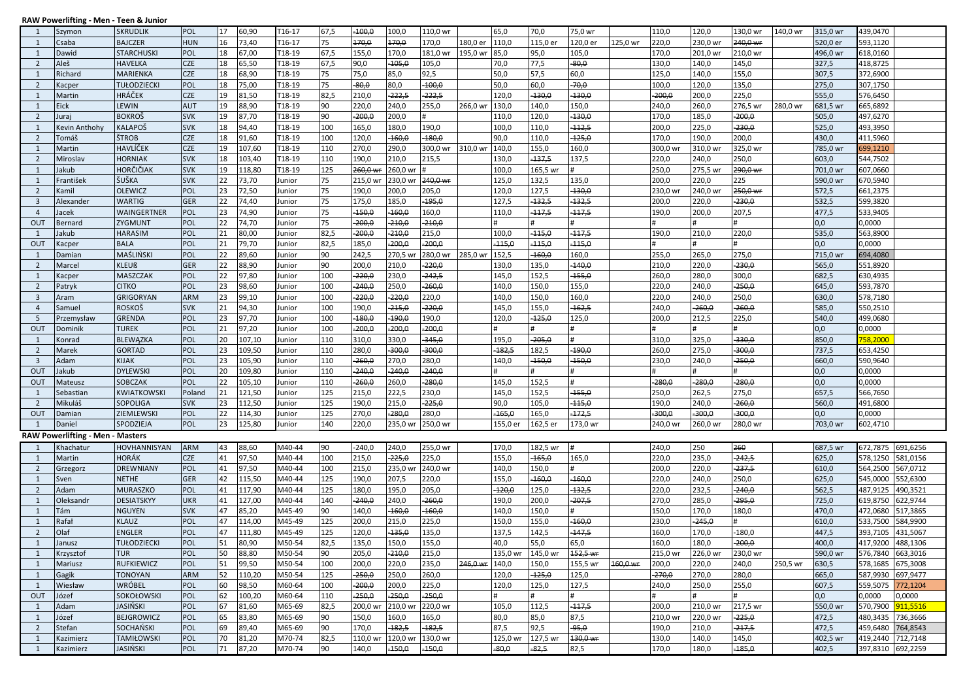## RAW Powerlifting - Men - Teen & Junior

| -1                      | Szymon                                  | <b>SKRUDLIK</b>     | <b>POL</b> | 17 | 60,90  | T16-17           | 67,5 | $-100,0$          | 100,0    | 110,0 wr |                | 65,0     | 70,0     | 75,0 wr  |          | 110,0    | 120,0    | 130,0 wr | 140,0 wr | 315,0 wr | 439,0470          |          |
|-------------------------|-----------------------------------------|---------------------|------------|----|--------|------------------|------|-------------------|----------|----------|----------------|----------|----------|----------|----------|----------|----------|----------|----------|----------|-------------------|----------|
| 1                       | Csaba                                   | <b>BAJCZER</b>      | <b>HUN</b> | 16 | 73,40  | $T16-17$         | 75   | 170,0             | 170,0    | 170,0    | 180,0 er       | 110,0    | 115,0 er | 120,0 er | 125,0 wr | 220,0    | 230,0 wr | 240,0 wr |          | 520,0 er | 593,1120          |          |
| 1                       | Dawid                                   | <b>STARCHUSKI</b>   | POL        | 18 | 67,00  | T18-19           | 67,5 | 155,0             | 170,0    | 181,0 wr | 195,0 wr       | 85,0     | 95,0     | 105,0    |          | 170,0    | 201,0 wr | 210,0 wr |          | 496,0 wr | 618,0160          |          |
| $\overline{2}$          | Aleš                                    | <b>HAVELKA</b>      | <b>CZE</b> | 18 | 65,50  | T18-19           | 67,5 | 90,0              | 105,0    | 105,0    |                | 70,0     | 77,5     | $-80,0$  |          | 130,0    | 140,0    | 145,0    |          | 327,5    | 418,8725          |          |
| 1                       | Richard                                 | <b>MARIENKA</b>     | <b>CZE</b> | 18 | 68,90  | T18-19           | 75   | 75,0              | 85,0     | 92,5     |                | 50,0     | 57,5     | 60,0     |          | 125,0    | 140,0    | 155,0    |          | 307,5    | 372,6900          |          |
| 2                       | Kacper                                  | TUŁODZIECKI         | POL        | 18 | 75,00  | T18-19           | 75   | $-80,0$           | 80,0     | $-100,0$ |                | 50,0     | 60,0     | $-70,0$  |          | 100,0    | 120,0    | 135,0    |          | 275,0    | 307,1750          |          |
| 1                       | Martin                                  | <b>HRÁČEK</b>       | <b>CZE</b> | 19 | 81,50  | T18-19           | 82,5 | 210,0             | $-222,5$ | $-222,5$ |                | 120,0    | $-130,0$ | $-130,0$ |          | $-200,0$ | 200,0    | 225,0    |          | 555,0    | 576,6450          |          |
| 1                       | Eick                                    | LEWIN               | <b>AUT</b> | 19 | 88,90  | T18-19           | 90   | 220,0             | 240,0    | 255,0    | 266,0 wr       | 130,0    | 140,0    | 150,0    |          | 240,0    | 260,0    | 276,5 wr | 280,0 wr | 681,5 wr | 665,6892          |          |
| 2                       |                                         |                     | <b>SVK</b> | 19 |        |                  | 90   | $-200,0$          |          |          |                |          |          | $-130,0$ |          |          |          | 200,0    |          |          |                   |          |
|                         | Juraj                                   | <b>BOKROŠ</b>       |            |    | 87,70  | T18-19           |      |                   | 200,0    |          |                | 110,0    | 120,0    |          |          | 170,0    | 185,0    | 230,0    |          | 505,0    | 497,6270          |          |
| 1                       | Kevin Anthohy                           | <b>KALAPOŠ</b>      | <b>SVK</b> | 18 | 94,40  | T18-19           | 100  | 165,0             | 180,0    | 190,0    |                | 100,0    | 110,0    | $-112,5$ |          | 200,0    | 225,0    |          |          | 525,0    | 493,3950          |          |
| $\overline{2}$          | Tomáš                                   | ŠTROB               | <b>CZE</b> | 18 | 91,60  | T18-19           | 100  | 120,0             | $-160,0$ | $-180,0$ |                | 90,0     | 110,0    | $-125,0$ |          | 170,0    | 190,0    | 200,0    |          | 430,0    | 411,5960          |          |
| 1                       | Martin                                  | HAVLÍČEK            | <b>CZE</b> | 19 | 107,60 | T18-19           | 110  | 270,0             | 290,0    | 300,0 wr | 310,0 wr       | 140,0    | 155,0    | 160,0    |          | 300,0 wr | 310,0 wr | 325,0 wr |          | 785,0 wr | 699,1210          |          |
| $\overline{2}$          | Miroslav                                | <b>HORNIAK</b>      | <b>SVK</b> | 18 | 103,40 | T18-19           | 110  | 190,0             | 210,0    | 215,5    |                | 130,0    | $-137,5$ | 137,5    |          | 220,0    | 240,0    | 250,0    |          | 603,0    | 544,7502          |          |
| 1                       | Jakub                                   | HORČIČIAK           | <b>SVK</b> | 19 | 118,80 | T18-19           | 125  | 260,0 wi          | 260,0 wr |          |                | 100,0    | 165,5 wr |          |          | 250,0    | 275,5 wr | 290,0 wr |          | 701,0 wr | 607,0660          |          |
| 1                       | František                               | ŠUŠKA               | <b>SVK</b> | 22 | 73,70  | Junior           | 75   | 215,0 w           | 230,0 wr | 240,0 wr |                | 125,0    | 132,5    | 135,0    |          | 200,0    | 220,0    | 225      |          | 590,0 wr | 670,5940          |          |
| $\overline{2}$          | Kamil                                   | <b>OLEWICZ</b>      | POL        | 23 | 72,50  | Junior           | 75   | 190,0             | 200,0    | 205,0    |                | 120,0    | 127,5    | $-130,0$ |          | 230,0 wr | 240,0 wr | 250,0 wr |          | 572,5    | 661,2375          |          |
| $\overline{\mathbf{3}}$ | Alexander                               | WARTIG              | <b>GER</b> | 22 | 74,40  | Junior           | 75   | 175,0             | 185,0    | -195,0   |                | 127,5    | $-132,5$ | $-132,5$ |          | 200,0    | 220,0    | 230,0    |          | 532,5    | 599,3820          |          |
| $\overline{4}$          | Jacek                                   | WAINGERTNER         | POL        | 23 | 74,90  | Junior           | 75   | $-150,0$          | 160,0    | 160,0    |                | 110,0    | $-117,5$ | $-117,5$ |          | 190,0    | 200,0    | 207,5    |          | 477,5    | 533,9405          |          |
| OUT                     | Bernard                                 | ZYGMUNT             | POL        | 22 | 74,70  | Junior           | 75   | -200,0            | -210,0   | $-210,0$ |                |          |          |          |          |          |          |          |          | 0,0      | 0,0000            |          |
| 1                       | Jakub                                   | <b>HARASIM</b>      | POL        | 21 | 80,00  | Junior           | 82,5 | $-200,0$          | $-210,0$ | 215,0    |                | 100,0    | $-115,0$ | $-117,5$ |          | 190,0    | 210,0    | 220,0    |          | 535,0    | 563,8900          |          |
| OUT                     | Kacper                                  | <b>BALA</b>         | POL        | 21 | 79,70  | Junior           | 82,5 | 185,0             | $-200,0$ | $-200,0$ |                | $-115,0$ | $-115,0$ | $-115,0$ |          |          |          |          |          | 0,0      | 0,0000            |          |
| 1                       | Damian                                  | MAŚLIŃSKI           | POL        | 22 | 89,60  | Junior           | 90   | 242,5             | 270,5 wr | 280,0 wr | 285,0 wr       | 152,5    | $-160,0$ | 160,0    |          | 255,0    | 265,0    | 275,0    |          | 715,0 wr | 694,4080          |          |
| $\overline{2}$          | Marcel                                  | <b>KLEUß</b>        | <b>GER</b> | 22 | 88,90  | Junior           | 90   | 200,0             | 210,0    | $-220,0$ |                | 130,0    | 135,0    | $-140,0$ |          | 210,0    | 220,0    | 230,0    |          | 565,0    | 551,8920          |          |
| 1                       | Kacper                                  | MASZCZAK            | POL        | 22 | 97,80  | Junior           | 100  | $-220,0$          | 230,0    | $-242,5$ |                | 145,0    | 152,5    | $-155,0$ |          | 260,0    | 280,0    | 300,0    |          | 682,5    | 630,4935          |          |
| $\overline{2}$          | Patryk                                  | <b>CITKO</b>        | POL        | 23 | 98,60  | Junior           | 100  | -240,0            | 250,0    | 260,0    |                | 140,0    | 150,0    | 155,0    |          | 220,0    | 240,0    | 250,0    |          | 645,0    | 593,7870          |          |
| $\overline{3}$          | Aram                                    | <b>GRIGORYAN</b>    | <b>ARM</b> | 23 | 99,10  | Junior           | 100  | $-220,0$          | $-220,0$ | 220,0    |                | 140,0    | 150,0    | 160,0    |          | 220,0    | 240,0    | 250,0    |          | 630,0    | 578,7180          |          |
| $\overline{4}$          | Samuel                                  | <b>ROSKOŠ</b>       | <b>SVK</b> | 21 | 94,30  | Junior           | 100  | 190,0             | $-215,0$ | 220,0    |                | 145,0    | 155,0    | $-162,5$ |          | 240,0    | $-260,0$ | 260,0    |          | 585,0    | 550,2510          |          |
| 5                       | Przemysław                              | <b>GRENDA</b>       | POL        | 23 | 97,70  | Junior           | 100  | $-180,0$          | 190,0    | 190,0    |                | 120,0    | $-125,0$ | 125,0    |          | 200,0    | 212,5    | 225,0    |          | 540,0    | 499,0680          |          |
| OUT                     | Dominik                                 | <b>TUREK</b>        | POL        | 21 | 97,20  | Junior           | 100  | $-200,0$          | -200,0   | -200,0   |                |          |          |          |          |          |          |          |          | 0,0      | 0,0000            |          |
| 1                       | Konrad                                  | <b>BLEWAZKA</b>     | POL        | 20 | 107,10 | Junior           | 110  | 310,0             | 330,0    | $-345,0$ |                | 195,0    | $-205,0$ |          |          | 310,0    | 325,0    | 330,0    |          | 850,0    | 758.2000          |          |
| $\overline{2}$          | Marek                                   | <b>GORTAD</b>       | POL        | 23 | 109,50 | Junior           | 110  | 280,0             | $-300,0$ | $-300,0$ |                | $-182,5$ | 182,5    | $-190,0$ |          | 260,0    | 275,0    | 300,0    |          | 737,5    | 653,4250          |          |
| $\overline{\mathbf{3}}$ | Adam                                    | <b>KIJAK</b>        | POL        | 23 | 105,90 | Junior           | 110  | $-260,0$          | 270,0    | 280,0    |                | 140,0    | $-150,0$ | $-150,0$ |          | 230,0    | 240,0    | 250,0    |          | 660,0    | 590,9640          |          |
| OUT                     | Jakub                                   |                     | POL        | 20 |        |                  | 110  | $-240,0$          | $-240,0$ | $-240,0$ |                |          |          | #        |          |          |          |          |          | 0,0      | 0,0000            |          |
|                         |                                         | <b>DYLEWSKI</b>     |            | 22 | 109,80 | Junior           |      |                   |          |          |                |          |          | Ħ        |          |          |          |          |          |          |                   |          |
| OUT                     | Mateusz                                 | SOBCZAK             | POL        |    | 105,10 | Junior           | 110  | $-260,0$          | 260,0    | $-280,0$ |                | 145,0    | 152,5    |          |          | $-280,0$ | $-280,0$ | $-280,0$ |          | 0,0      | 0,0000            |          |
| 1                       | Sebastian                               | KWIATKOWSKI         | Poland     | 21 | 121,50 | Junior           | 125  | 215,0             | 222,5    | 230,0    |                | 145,0    | 152,5    | $-155,0$ |          | 250,0    | 262,5    | 275,0    |          | 657,5    | 566,7650          |          |
| 2                       | Mikuláš                                 | SOPOLIGA            | <b>SVK</b> | 23 | 112,50 | Junior           | 125  | 190,0             | 215,0    | $-225,0$ |                | 90,0     | 105,0    | $-115,0$ |          | 190,0    | 240,0    | 260,0    |          | 560,0    | 491,6800          |          |
| OUT                     | Damian                                  | ZIEMLEWSKI          | POL        | 22 | 114,30 | Junior           | 125  | 270,0             | $-280,0$ | 280,0    |                | $-165,0$ | 165,0    | $-172,5$ |          | $-300,0$ | $-300,0$ | 300,0    |          | 0,0      | 0,0000            |          |
| $\mathbf{1}$            | Daniel                                  | SPODZIEJA           | POL        | 23 | 125,80 | Junior           | 140  | 220,0             | 235,0 wr | 250,0 wr |                | 155,0 er | 162,5 er | 173,0 wr |          | 240,0 wr | 260,0 wi | 280,0 wr |          | 703,0 wr | 602,4710          |          |
|                         | <b>RAW Powerlifting - Men - Masters</b> |                     |            |    |        |                  |      |                   |          |          |                |          |          |          |          |          |          |          |          |          |                   |          |
| -1                      | Khachatur                               | <b>HOVHANNISYAN</b> | <b>ARM</b> | 43 | 88,60  | M40-44           | 90   | $-240,0$          | 240,0    | 255,0 wr |                | 170,0    | 182,5 wr |          |          | 240,0    | 250      | 260      |          | 687,5 wr | 672,7875          | 691,6256 |
| 1                       | Martin                                  | <b>HORÁK</b>        | <b>CZE</b> | 41 | 97,50  | M40-44           | 100  | 215,0             | $-225,0$ | 225,0    |                | 155,0    | $-165,0$ | 165,0    |          | 220,0    | 235,0    | 242,5    |          | 625,0    | 578,1250          | 581,0156 |
| 2                       | Grzegorz                                | <b>DREWNIANY</b>    | POL        | 41 | 97,50  | M40-44           | 100  | 215,0             | 235,0 wr | 240,0 wr |                | 140,0    | 150,0    |          |          | 200,0    | 220,0    | 237,5    |          | 610,0    | 564,2500          | 567,0712 |
| 1                       | Sven                                    | <b>NETHE</b>        | <b>GER</b> | 42 | 115,50 | M40-44           | 125  | 190,0             | 207,5    | 220,0    |                | 155,0    | $-160,0$ | $-160,0$ |          | 220,0    | 240,0    | 250,0    |          | 625,0    | 545,0000          | 552,6300 |
| $\overline{2}$          | Adam                                    | <b>MURASZKO</b>     | POL        | 41 | 117,90 | M40-44           | 125  | 180,0             | 195,0    | 205,0    |                | $-120,0$ | 125,0    | $-132,5$ |          | 220,0    | 232,5    | 240,0    |          | 562,5    | 487,9125          | 490,3521 |
| 1                       | Oleksandr                               | DESIATSKYY          | <b>UKR</b> | 41 | 127,00 | M40-44           | 140  | $-240,0$          | 240,0    | $-260,0$ |                | 190,0    | 200,0    | $-207,5$ |          | 270,0    | 285,0    | 295,0    |          | 725,0    | 619,8750          | 622,9744 |
| 1                       | Tám                                     | <b>NGUYEN</b>       | <b>SVK</b> | 47 | 85,20  | M45-49           | 90   | 140,0             | $-160,0$ | $-160,0$ |                | 140,0    | 150,0    | Ħ        |          | 150,0    | 170,0    | 180,0    |          | 470,0    | 472,0680          | 517,3865 |
| 1                       | Rafał                                   | <b>KLAUZ</b>        | POL        | 47 | 114,00 | M45-49           | 125  | 200,0             | 215,0    | 225,0    |                | 150,0    | 155,0    | $-160,0$ |          | 230,0    | $-245,0$ |          |          | 610,0    | 533,7500          | 584,9900 |
| $\overline{2}$          | Olaf                                    | <b>ENGLER</b>       | POL        | 47 | 111,80 | M45-49           | 125  | 120,0             | 135,0    | 135,0    |                | 137,5    | 142,5    | $-147,5$ |          | 160,0    | 170,0    | $-180,0$ |          | 447,5    | 393,7105          | 431,5067 |
| 1                       | Janusz                                  | <b>TUŁODZIECKI</b>  | POL        | 51 | 80,90  | M50-54           | 82,5 | 135,0             | 150,0    | 155,0    |                | 40,0     | 55,0     | 65,0     |          | 160,0    | 180,0    | 200,0    |          | 400,0    | 417,9200          | 488,1306 |
| 1                       | Krzysztof                               | <b>TUR</b>          | <b>POL</b> | 50 | 88,80  | M50-54           | 90   | 205,0             | $-210,0$ | 215,0    |                | 135,0 wr | 145,0 wr | 152,5 wr |          | 215,0 wr | 226,0 wr | 230,0 wr |          | 590,0 wr | 576,7840          | 663,3016 |
| 1                       | Mariusz                                 | <b>RUFKIEWICZ</b>   | POL        | 51 | 99,50  | M50-54           | 100  | 200,0             | 220,0    | 235,0    | 246,0 wr 140,0 |          | 150,0    | 155,5 wr | 160,0 wr | 200,0    | 220,0    | 240,0    | 250,5 wr | 630,5    | 578,1685          | 675,3008 |
| 1                       | Gagik                                   | <b>TONOYAN</b>      | ARM        | 52 | 110,20 | M50-54           | 125  | -250,0            | 250,0    | 260,0    |                | 120,0    | $-125,0$ | 125,0    |          | $-270,0$ | 270,0    | 280,0    |          | 665,0    | 587,9930          | 697,9477 |
| 1                       | Wiesław                                 | <b>WRÓBEL</b>       | POL        | 60 | 98,50  | M60-64           | 100  | -200,0            | 200,0    | 225,0    |                | 120,0    | 125,0    | 127,5    |          | 240,0    | 250,0    | 255,0    |          | 607,5    | 559,5075          | 772,1204 |
| OUT                     | Józef                                   | SOKOŁOWSKI          | POL        | 62 | 100,20 | M60-64           | 110  | 250,0             | 250,0    | $-250,0$ |                |          |          | #        |          | #        |          |          |          | 0,0      | 0,0000            | 0,0000   |
| 1                       | Adam                                    | JASIŃSKI            | POL        | 67 | 81,60  |                  | 82,5 |                   | 210,0 wr | 220,0 wr |                | 105,0    | 112,5    | $-117,5$ |          | 200,0    | 210,0 wr | 217,5 wr |          | 550,0 wr | 570,7900          | 911,5516 |
| 1                       | Józef                                   | <b>BEJGROWICZ</b>   | POL        | 65 |        | M65-69<br>M65-69 | 90   | 200,0 wr<br>150,0 | 160,0    | 165,0    |                |          |          |          |          | 210,0 wr | 220,0 wr | $-225,0$ |          | 472,5    | 480,3435          | 736,3666 |
|                         |                                         |                     |            |    | 83,80  |                  |      |                   |          |          |                | 80,0     | 85,0     | 87,5     |          |          |          |          |          |          |                   |          |
| $\overline{2}$          | Stefan                                  | SOCHAŃSKI           | POL        | 69 | 89,40  | M65-69           | 90   | 170,0             | $-182,5$ | $-182,5$ |                | 87,5     | 92,5     | $-95,0$  |          | 190,0    | 210,0    | 217,5    |          | 472,5    | 459,6480          | 764,8543 |
| 1                       | Kazimierz                               | <b>TAMIŁOWSKI</b>   | POL        | 70 | 81,20  | M70-74           | 82,5 | 110,0 wr          | 120,0 wr | 130,0 wr |                | 125,0 wr | 127,5 wr | 130,0 wr |          | 130,0    | 140,0    | 145,0    |          | 402,5 wr | 419,2440 712,7148 |          |
| 1                       | Kazimierz                               | JASIŃSKI            | POL        | 71 | 87,20  | M70-74           | 90   | 140,0             | -150,0   | -150,0   |                | $-80,0$  | $-82,5$  | 82,5     |          | 170,0    | 180,0    | $-185,0$ |          | 402,5    | 397,8310 692,2259 |          |